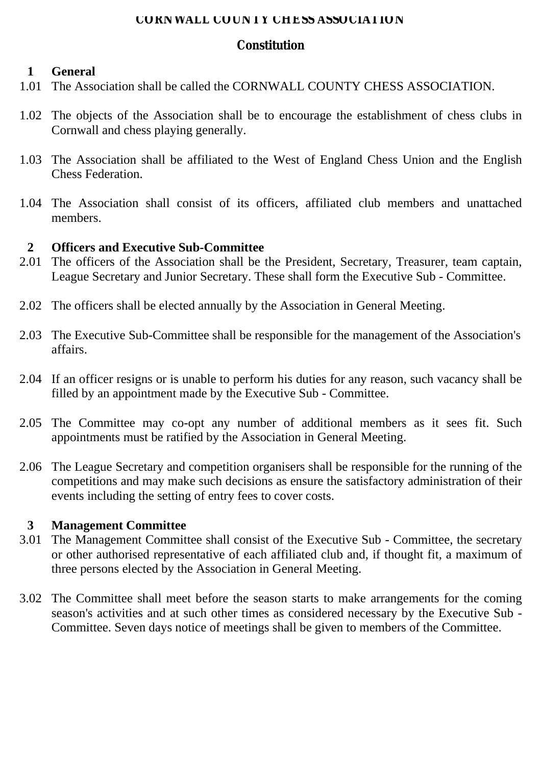#### **CORNWALL COUNTY CHESS ASSOCIATION**

# **Constitution**

# **1 General**

- 1.01 The Association shall be called the CORNWALL COUNTY CHESS ASSOCIATION.
- 1.02 The objects of the Association shall be to encourage the establishment of chess clubs in Cornwall and chess playing generally.
- 1.03 The Association shall be affiliated to the West of England Chess Union and the English Chess Federation.
- 1.04 The Association shall consist of its officers, affiliated club members and unattached members.

### **2 Officers and Executive Sub-Committee**

- 2.01 The officers of the Association shall be the President, Secretary, Treasurer, team captain, League Secretary and Junior Secretary. These shall form the Executive Sub - Committee.
- 2.02 The officers shall be elected annually by the Association in General Meeting.
- 2.03 The Executive Sub-Committee shall be responsible for the management of the Association's affairs.
- 2.04 If an officer resigns or is unable to perform his duties for any reason, such vacancy shall be filled by an appointment made by the Executive Sub - Committee.
- 2.05 The Committee may co-opt any number of additional members as it sees fit. Such appointments must be ratified by the Association in General Meeting.
- 2.06 The League Secretary and competition organisers shall be responsible for the running of the competitions and may make such decisions as ensure the satisfactory administration of their events including the setting of entry fees to cover costs.

### **3 Management Committee**

- 3.01 The Management Committee shall consist of the Executive Sub Committee, the secretary or other authorised representative of each affiliated club and, if thought fit, a maximum of three persons elected by the Association in General Meeting.
- 3.02 The Committee shall meet before the season starts to make arrangements for the coming season's activities and at such other times as considered necessary by the Executive Sub - Committee. Seven days notice of meetings shall be given to members of the Committee.